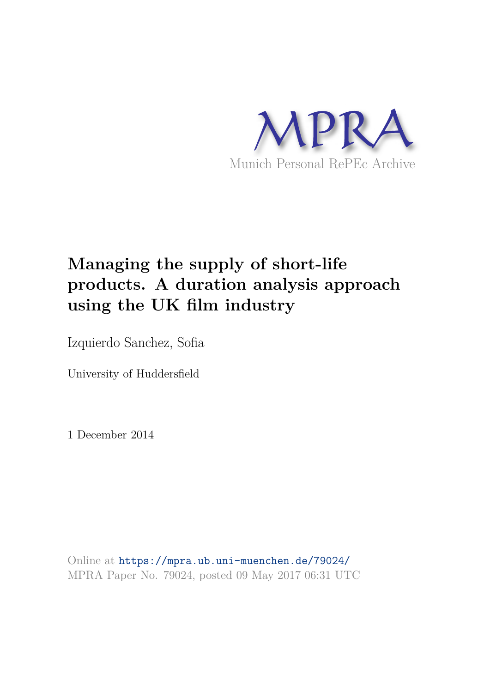

# **Managing the supply of short-life products. A duration analysis approach using the UK film industry**

Izquierdo Sanchez, Sofia

University of Huddersfield

1 December 2014

Online at https://mpra.ub.uni-muenchen.de/79024/ MPRA Paper No. 79024, posted 09 May 2017 06:31 UTC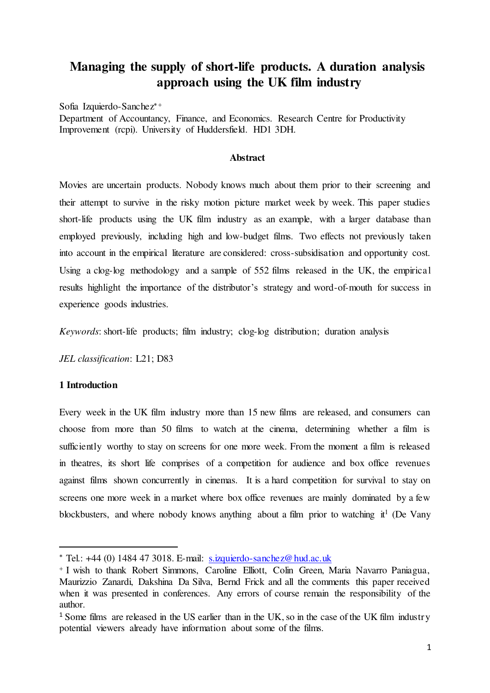# **Managing the supply of short-life products. A duration analysis approach using the UK film industry**

Sofia Izquierdo-Sanchez

Department of Accountancy, Finance, and Economics. Research Centre for Productivity Improvement (rcpi). University of Huddersfield. HD1 3DH.

## **Abstract**

Movies are uncertain products. Nobody knows much about them prior to their screening and their attempt to survive in the risky motion picture market week by week. This paper studies short-life products using the UK film industry as an example, with a larger database than employed previously, including high and low-budget films. Two effects not previously taken into account in the empirical literature are considered: cross-subsidisation and opportunity cost. Using a clog-log methodology and a sample of 552 films released in the UK, the empirical results highlight the importance of the distributor's strategy and word-of-mouth for success in experience goods industries.

*Keywords*: short-life products; film industry; clog-log distribution; duration analysis

*JEL classification*: L21; D83

## **1 Introduction**

 $\overline{a}$ 

Every week in the UK film industry more than 15 new films are released, and consumers can choose from more than 50 films to watch at the cinema, determining whether a film is sufficiently worthy to stay on screens for one more week. From the moment a film is released in theatres, its short life comprises of a competition for audience and box office revenues against films shown concurrently in cinemas. It is a hard competition for survival to stay on screens one more week in a market where box office revenues are mainly dominated by a few blockbusters, and where nobody knows anything about a film prior to watching  $it<sup>1</sup>$  (De Vany

 $*$  Tel.: +44 (0) 1484 47 3018. E-mail: [s.izquierdo-sanchez@hud.ac.uk](mailto:s.izquierdo-sanchez@hud.ac.uk)

<sup>&</sup>lt;sup>+</sup> I wish to thank Robert Simmons, Caroline Elliott, Colin Green, Maria Navarro Paniagua, Maurizzio Zanardi, Dakshina Da Silva, Bernd Frick and all the comments this paper received when it was presented in conferences. Any errors of course remain the responsibility of the author.

<sup>&</sup>lt;sup>1</sup> Some films are released in the US earlier than in the UK, so in the case of the UK film industry potential viewers already have information about some of the films.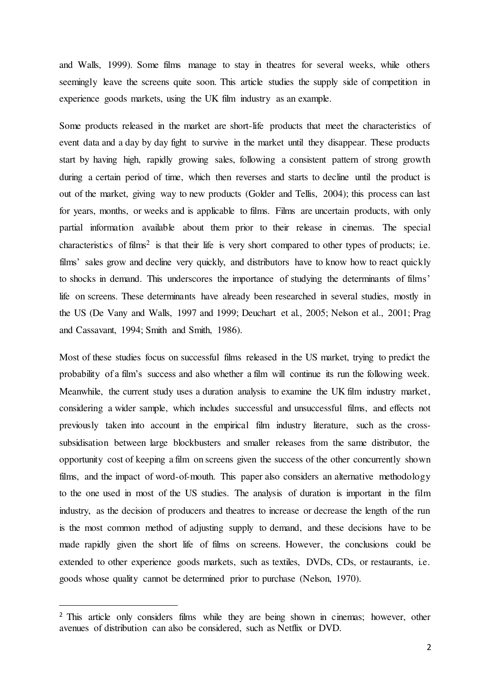and Walls, 1999). Some films manage to stay in theatres for several weeks, while others seemingly leave the screens quite soon. This article studies the supply side of competition in experience goods markets, using the UK film industry as an example.

Some products released in the market are short-life products that meet the characteristics of event data and a day by day fight to survive in the market until they disappear. These products start by having high, rapidly growing sales, following a consistent pattern of strong growth during a certain period of time, which then reverses and starts to decline until the product is out of the market, giving way to new products (Golder and Tellis, 2004); this process can last for years, months, or weeks and is applicable to films. Films are uncertain products, with only partial information available about them prior to their release in cinemas. The special characteristics of films<sup>2</sup> is that their life is very short compared to other types of products; i.e. films' sales grow and decline very quickly, and distributors have to know how to react quickly to shocks in demand. This underscores the importance of studying the determinants of films' life on screens. These determinants have already been researched in several studies, mostly in the US (De Vany and Walls, 1997 and 1999; Deuchart et al., 2005; Nelson et al., 2001; Prag and Cassavant, 1994; Smith and Smith, 1986).

Most of these studies focus on successful films released in the US market, trying to predict the probability of a film's success and also whether a film will continue its run the following week. Meanwhile, the current study uses a duration analysis to examine the UK film industry market, considering a wider sample, which includes successful and unsuccessful films, and effects not previously taken into account in the empirical film industry literature, such as the crosssubsidisation between large blockbusters and smaller releases from the same distributor, the opportunity cost of keeping a film on screens given the success of the other concurrently shown films, and the impact of word-of-mouth. This paper also considers an alternative methodology to the one used in most of the US studies. The analysis of duration is important in the film industry, as the decision of producers and theatres to increase or decrease the length of the run is the most common method of adjusting supply to demand, and these decisions have to be made rapidly given the short life of films on screens. However, the conclusions could be extended to other experience goods markets, such as textiles, DVDs, CDs, or restaurants, i.e. goods whose quality cannot be determined prior to purchase (Nelson, 1970).

<sup>&</sup>lt;sup>2</sup> This article only considers films while they are being shown in cinemas; however, other avenues of distribution can also be considered, such as Netflix or DVD.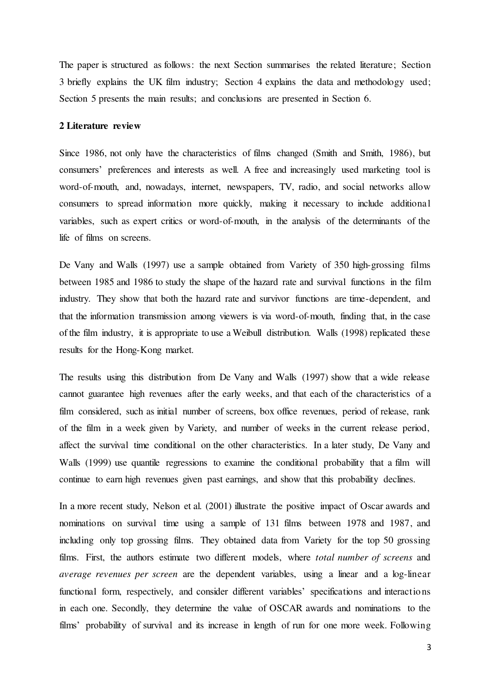The paper is structured as follows: the next Section summarises the related literature; Section 3 briefly explains the UK film industry; Section 4 explains the data and methodology used; Section 5 presents the main results; and conclusions are presented in Section 6.

#### **2 Literature review**

Since 1986, not only have the characteristics of films changed (Smith and Smith, 1986), but consumers' preferences and interests as well. A free and increasingly used marketing tool is word-of-mouth, and, nowadays, internet, newspapers, TV, radio, and social networks allow consumers to spread information more quickly, making it necessary to include additional variables, such as expert critics or word-of-mouth, in the analysis of the determinants of the life of films on screens.

De Vany and Walls (1997) use a sample obtained from Variety of 350 high-grossing films between 1985 and 1986 to study the shape of the hazard rate and survival functions in the film industry. They show that both the hazard rate and survivor functions are time-dependent, and that the information transmission among viewers is via word-of-mouth, finding that, in the case of the film industry, it is appropriate to use a Weibull distribution. Walls (1998) replicated these results for the Hong-Kong market.

The results using this distribution from De Vany and Walls (1997) show that a wide release cannot guarantee high revenues after the early weeks, and that each of the characteristics of a film considered, such as initial number of screens, box office revenues, period of release, rank of the film in a week given by Variety, and number of weeks in the current release period, affect the survival time conditional on the other characteristics. In a later study, De Vany and Walls (1999) use quantile regressions to examine the conditional probability that a film will continue to earn high revenues given past earnings, and show that this probability declines.

In a more recent study, Nelson et al. (2001) illustrate the positive impact of Oscar awards and nominations on survival time using a sample of 131 films between 1978 and 1987, and including only top grossing films. They obtained data from Variety for the top 50 grossing films. First, the authors estimate two different models, where *total number of screens* and *average revenues per screen* are the dependent variables, using a linear and a log-linear functional form, respectively, and consider different variables' specifications and interactions in each one. Secondly, they determine the value of OSCAR awards and nominations to the films' probability of survival and its increase in length of run for one more week. Following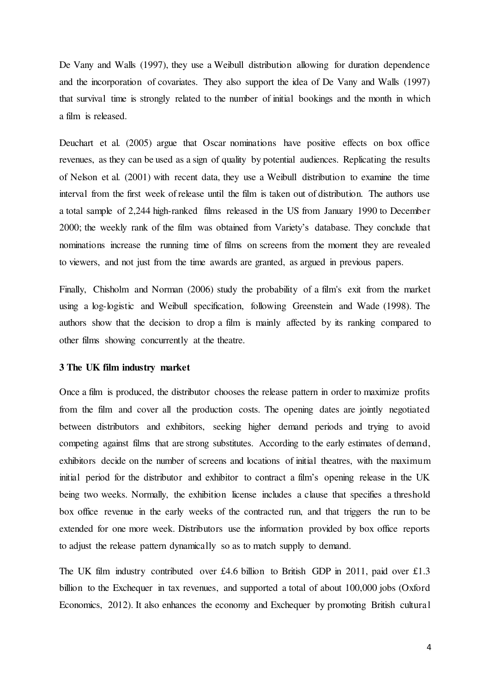De Vany and Walls (1997), they use a Weibull distribution allowing for duration dependence and the incorporation of covariates. They also support the idea of De Vany and Walls (1997) that survival time is strongly related to the number of initial bookings and the month in which a film is released.

Deuchart et al. (2005) argue that Oscar nominations have positive effects on box office revenues, as they can be used as a sign of quality by potential audiences. Replicating the results of Nelson et al. (2001) with recent data, they use a Weibull distribution to examine the time interval from the first week of release until the film is taken out of distribution. The authors use a total sample of 2,244 high-ranked films released in the US from January 1990 to December 2000; the weekly rank of the film was obtained from Variety's database. They conclude that nominations increase the running time of films on screens from the moment they are revealed to viewers, and not just from the time awards are granted, as argued in previous papers.

Finally, Chisholm and Norman (2006) study the probability of a film's exit from the market using a log-logistic and Weibull specification, following Greenstein and Wade (1998). The authors show that the decision to drop a film is mainly affected by its ranking compared to other films showing concurrently at the theatre.

#### **3 The UK film industry market**

Once a film is produced, the distributor chooses the release pattern in order to maximize profits from the film and cover all the production costs. The opening dates are jointly negotiated between distributors and exhibitors, seeking higher demand periods and trying to avoid competing against films that are strong substitutes. According to the early estimates of demand, exhibitors decide on the number of screens and locations of initial theatres, with the maximum initial period for the distributor and exhibitor to contract a film's opening release in the UK being two weeks. Normally, the exhibition license includes a clause that specifies a threshold box office revenue in the early weeks of the contracted run, and that triggers the run to be extended for one more week. Distributors use the information provided by box office reports to adjust the release pattern dynamically so as to match supply to demand.

The UK film industry contributed over £4.6 billion to British GDP in 2011, paid over £1.3 billion to the Exchequer in tax revenues, and supported a total of about 100,000 jobs (Oxford Economics, 2012). It also enhances the economy and Exchequer by promoting British cultural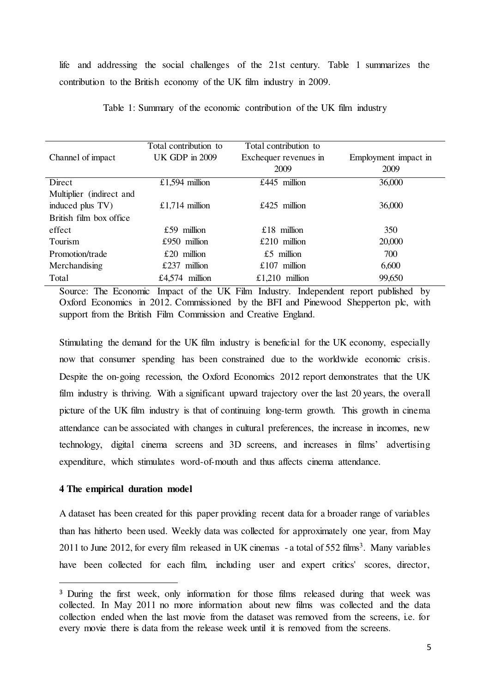life and addressing the social challenges of the 21st century. Table 1 summarizes the contribution to the British economy of the UK film industry in 2009.

|                          | Total contribution to | Total contribution to |                      |
|--------------------------|-----------------------|-----------------------|----------------------|
| Channel of impact        | <b>UK GDP</b> in 2009 | Exchequer revenues in | Employment impact in |
|                          |                       | 2009                  | 2009                 |
| Direct                   | £1,594 million        | £445 million          | 36,000               |
| Multiplier (indirect and |                       |                       |                      |
| induced plus TV)         | £1,714 million        | £425 million          | 36,000               |
| British film box office  |                       |                       |                      |
| effect                   | £59 million           | $£18$ million         | 350                  |
| Tourism                  | $£950$ million        | $£210$ million        | 20,000               |
| Promotion/trade          | $£20$ million         | $£5$ million          | 700                  |
| Merchandising            | £237 million          | £107 million          | 6,600                |
| Total                    | £4.574 million        | £1,210 million        | 99,650               |

Table 1: Summary of the economic contribution of the UK film industry

Source: The Economic Impact of the UK Film Industry. Independent report published by Oxford Economics in 2012. Commissioned by the BFI and Pinewood Shepperton plc, with support from the British Film Commission and Creative England.

Stimulating the demand for the UK film industry is beneficial for the UK economy, especially now that consumer spending has been constrained due to the worldwide economic crisis. Despite the on-going recession, the Oxford Economics 2012 report demonstrates that the UK film industry is thriving. With a significant upward trajectory over the last 20 years, the overall picture of the UK film industry is that of continuing long-term growth. This growth in cinema attendance can be associated with changes in cultural preferences, the increase in incomes, new technology, digital cinema screens and 3D screens, and increases in films' advertising expenditure, which stimulates word-of-mouth and thus affects cinema attendance.

#### **4 The empirical duration model**

 $\overline{a}$ 

A dataset has been created for this paper providing recent data for a broader range of variables than has hitherto been used. Weekly data was collected for approximately one year, from May 2011 to June 2012, for every film released in UK cinemas  $-$  a total of 552 films<sup>3</sup>. Many variables have been collected for each film, including user and expert critics' scores, director,

<sup>&</sup>lt;sup>3</sup> During the first week, only information for those films released during that week was collected. In May 2011 no more information about new films was collected and the data collection ended when the last movie from the dataset was removed from the screens, i.e. for every movie there is data from the release week until it is removed from the screens.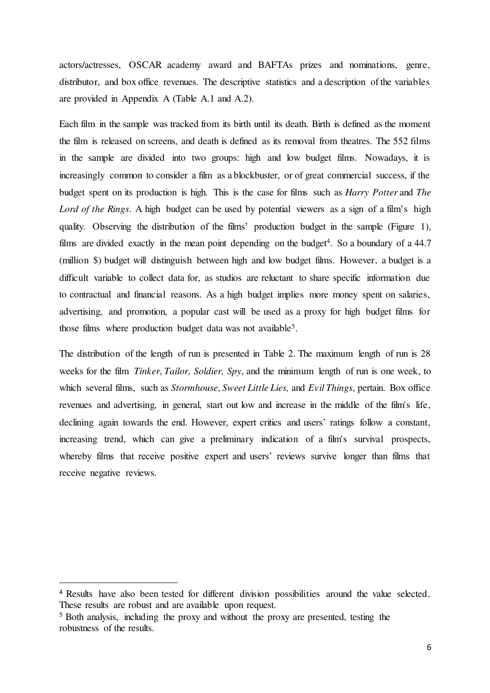actors/actresses, OSCAR academy award and BAFTAs prizes and nominations, genre, distributor, and box office revenues. The descriptive statistics and a description of the variables are provided in Appendix A (Table A.1 and A.2).

Each film in the sample was tracked from its birth until its death. Birth is defined as the moment the film is released on screens, and death is defined as its removal from theatres. The 552 films in the sample are divided into two groups: high and low budget films. Nowadays, it is increasingly common to consider a film as a blockbuster, or of great commercial success, if the budget spent on its production is high. This is the case for films such as *Harry Potter* and *The Lord of the Rings*. A high budget can be used by potential viewers as a sign of a film's high quality. Observing the distribution of the films' production budget in the sample (Figure 1), films are divided exactly in the mean point depending on the budget<sup>4</sup>. So a boundary of a  $44.7$ (million \$) budget will distinguish between high and low budget films. However, a budget is a difficult variable to collect data for, as studios are reluctant to share specific information due to contractual and financial reasons. As a high budget implies more money spent on salaries, advertising, and promotion, a popular cast will be used as a proxy for high budget films for those films where production budget data was not available<sup>5</sup>.

The distribution of the length of run is presented in Table 2. The maximum length of run is 28 weeks for the film *Tinker, Tailor, Soldier, Spy*, and the minimum length of run is one week, to which several films, such as *Stormhouse*, *Sweet Little Lies,* and *Evil Things*, pertain. Box office revenues and advertising, in general, start out low and increase in the middle of the film's life, declining again towards the end. However, expert critics and users' ratings follow a constant, increasing trend, which can give a preliminary indication of a film's survival prospects, whereby films that receive positive expert and users' reviews survive longer than films that receive negative reviews.

<sup>&</sup>lt;sup>4</sup> Results have also been tested for different division possibilities around the value selected. These results are robust and are available upon request.

<sup>5</sup> Both analysis, including the proxy and without the proxy are presented, testing the robustness of the results.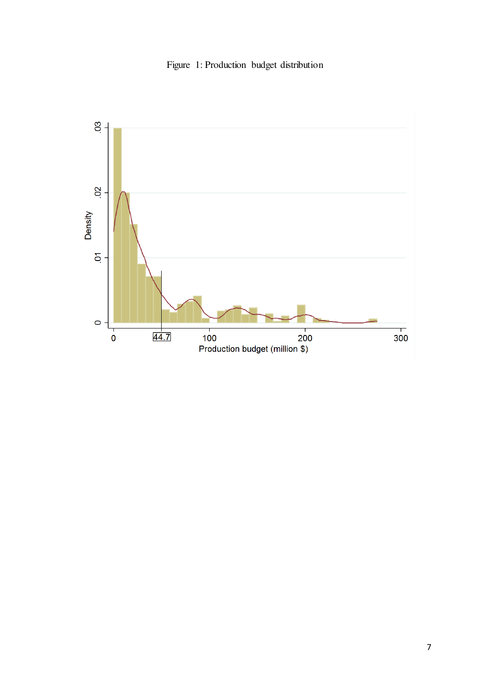

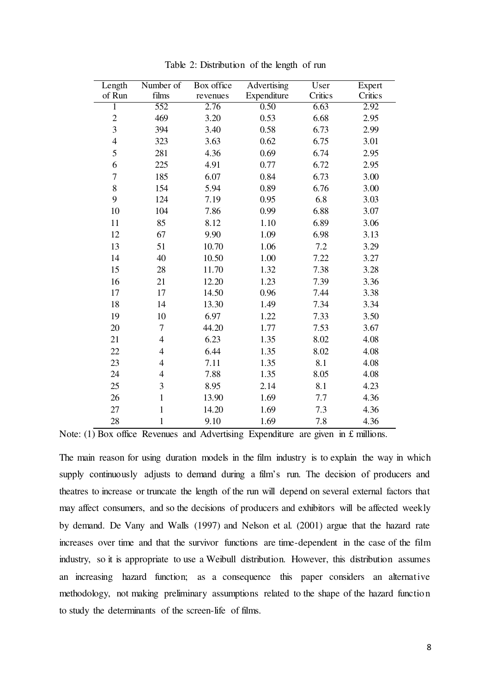| Length         | Number of      | Box office | Advertising | User    | Expert  |
|----------------|----------------|------------|-------------|---------|---------|
| of Run         | films          | revenues   | Expenditure | Critics | Critics |
| $\mathbf{1}$   | 552            | 2.76       | 0.50        | 6.63    | 2.92    |
| $\overline{c}$ | 469            | 3.20       | 0.53        | 6.68    | 2.95    |
| 3              | 394            | 3.40       | 0.58        | 6.73    | 2.99    |
| $\overline{4}$ | 323            | 3.63       | 0.62        | 6.75    | 3.01    |
| 5              | 281            | 4.36       | 0.69        | 6.74    | 2.95    |
| 6              | 225            | 4.91       | 0.77        | 6.72    | 2.95    |
| 7              | 185            | 6.07       | 0.84        | 6.73    | 3.00    |
| 8              | 154            | 5.94       | 0.89        | 6.76    | 3.00    |
| 9              | 124            | 7.19       | 0.95        | 6.8     | 3.03    |
| 10             | 104            | 7.86       | 0.99        | 6.88    | 3.07    |
| 11             | 85             | 8.12       | 1.10        | 6.89    | 3.06    |
| 12             | 67             | 9.90       | 1.09        | 6.98    | 3.13    |
| 13             | 51             | 10.70      | 1.06        | 7.2     | 3.29    |
| 14             | 40             | 10.50      | 1.00        | 7.22    | 3.27    |
| 15             | 28             | 11.70      | 1.32        | 7.38    | 3.28    |
| 16             | 21             | 12.20      | 1.23        | 7.39    | 3.36    |
| 17             | 17             | 14.50      | 0.96        | 7.44    | 3.38    |
| 18             | 14             | 13.30      | 1.49        | 7.34    | 3.34    |
| 19             | 10             | 6.97       | 1.22        | 7.33    | 3.50    |
| 20             | 7              | 44.20      | 1.77        | 7.53    | 3.67    |
| 21             | $\overline{4}$ | 6.23       | 1.35        | 8.02    | 4.08    |
| 22             | $\overline{4}$ | 6.44       | 1.35        | 8.02    | 4.08    |
| 23             | $\overline{4}$ | 7.11       | 1.35        | 8.1     | 4.08    |
| 24             | $\overline{4}$ | 7.88       | 1.35        | 8.05    | 4.08    |
| 25             | 3              | 8.95       | 2.14        | 8.1     | 4.23    |
| 26             | $\mathbf{1}$   | 13.90      | 1.69        | 7.7     | 4.36    |
| 27             | $\mathbf{1}$   | 14.20      | 1.69        | 7.3     | 4.36    |
| 28             | $\mathbf{1}$   | 9.10       | 1.69        | 7.8     | 4.36    |

Table 2: Distribution of the length of run

Note:  $(1)$  Box office Revenues and Advertising Expenditure are given in £ millions.

The main reason for using duration models in the film industry is to explain the way in which supply continuously adjusts to demand during a film's run. The decision of producers and theatres to increase or truncate the length of the run will depend on several external factors that may affect consumers, and so the decisions of producers and exhibitors will be affected weekly by demand. De Vany and Walls (1997) and Nelson et al. (2001) argue that the hazard rate increases over time and that the survivor functions are time-dependent in the case of the film industry, so it is appropriate to use a Weibull distribution. However, this distribution assumes an increasing hazard function; as a consequence this paper considers an alternative methodology, not making preliminary assumptions related to the shape of the hazard function to study the determinants of the screen-life of films.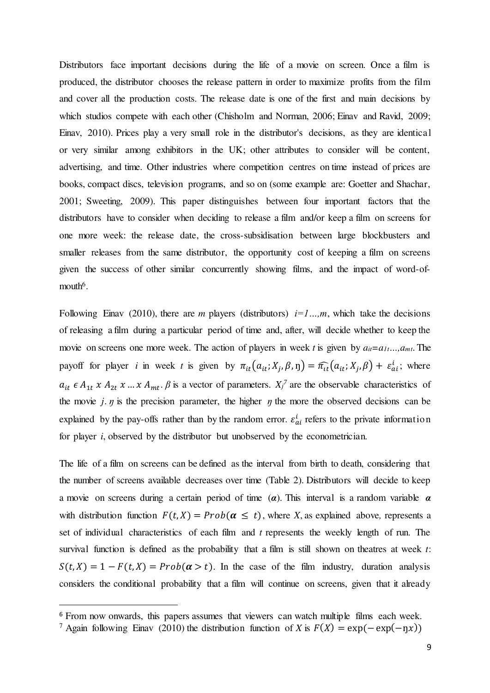Distributors face important decisions during the life of a movie on screen. Once a film is produced, the distributor chooses the release pattern in order to maximize profits from the film and cover all the production costs. The release date is one of the first and main decisions by which studios compete with each other (Chisholm and Norman, 2006; Einav and Ravid, 2009; Einav, 2010). Prices play a very small role in the distributor's decisions, as they are identical or very similar among exhibitors in the UK; other attributes to consider will be content, advertising, and time. Other industries where competition centres on time instead of prices are books, compact discs, television programs, and so on (some example are: Goetter and Shachar, 2001; Sweeting, 2009). This paper distinguishes between four important factors that the distributors have to consider when deciding to release a film and/or keep a film on screens for one more week: the release date, the cross-subsidisation between large blockbusters and smaller releases from the same distributor, the opportunity cost of keeping a film on screens given the success of other similar concurrently showing films, and the impact of word-ofmouth<sup>6</sup>.

Following Einav (2010), there are *m* players (distributors)  $i=1...m$ , which take the decisions of releasing a film during a particular period of time and, after, will decide whether to keep the movie on screens one more week. The action of players in week *t* is given by  $a_{it} = a_{1t} \dots, a_{mt}$ . The payoff for player *i* in week *t* is given by  $\pi_{it}(a_{it}; X_j, \beta, \eta) = \widehat{\pi_{it}}(a_{it}; X_j, \beta) + \varepsilon_{ai}^l$ ; where  $a_{it} \in A_{1t} \times A_{2t} \times ... \times A_{mt}$ .  $\beta$  is a vector of parameters.  $X_i^7$  are the observable characteristics of the movie  $j$ .  $\eta$  is the precision parameter, the higher  $\eta$  the more the observed decisions can be explained by the pay-offs rather than by the random error.  $\varepsilon_{ai}^t$  refers to the private information for player *i*, observed by the distributor but unobserved by the econometrician.

The life of a film on screens can be defined as the interval from birth to death, considering that the number of screens available decreases over time (Table 2). Distributors will decide to keep a movie on screens during a certain period of time (*α*). This interval is a random variable *α* with distribution function  $F(t, X) = Prob(\alpha \leq t)$ , where *X*, as explained above, represents a set of individual characteristics of each film and *t* represents the weekly length of run. The survival function is defined as the probability that a film is still shown on theatres at week *t*:  $S(t, X) = 1 - F(t, X) = Prob(\alpha > t)$ . In the case of the film industry, duration analysis considers the conditional probability that a film will continue on screens, given that it already

<sup>&</sup>lt;sup>6</sup> From now onwards, this papers assumes that viewers can watch multiple films each week.

<sup>&</sup>lt;sup>7</sup> Again following Einav (2010) the distribution function of *X* is  $F(X) = \exp(-\exp(-\eta x))$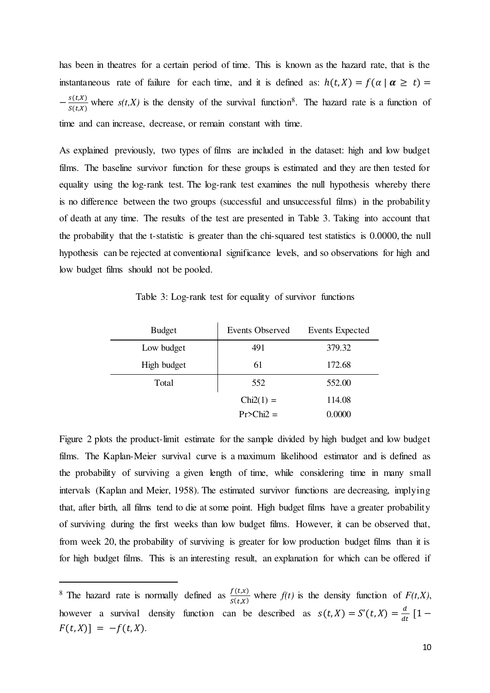has been in theatres for a certain period of time. This is known as the hazard rate, that is the instantaneous rate of failure for each time, and it is defined as:  $h(t, X) = f(\alpha | \alpha \ge t)$  $-\frac{S(L,X)}{S(L,X)}$  $\frac{s(t,x)}{s(t,x)}$  where  $s(t,X)$  is the density of the survival function<sup>8</sup>. The hazard rate is a function of time and can increase, decrease, or remain constant with time.

As explained previously, two types of films are included in the dataset: high and low budget films. The baseline survivor function for these groups is estimated and they are then tested for equality using the log-rank test. The log-rank test examines the null hypothesis whereby there is no difference between the two groups (successful and unsuccessful films) in the probability of death at any time. The results of the test are presented in Table 3. Taking into account that the probability that the t-statistic is greater than the chi-squared test statistics is 0.0000, the null hypothesis can be rejected at conventional significance levels, and so observations for high and low budget films should not be pooled.

Table 3: Log-rank test for equality of survivor functions

| <b>Budget</b> | Events Observed | Events Expected |
|---------------|-----------------|-----------------|
| Low budget    | 491             | 379.32          |
| High budget   | 61              | 172.68          |
| Total         | 552             | 552.00          |
|               | $Chi2(1) =$     | 114.08          |
|               | $Pr>Chi2 =$     | 0.0000          |

Figure 2 plots the product-limit estimate for the sample divided by high budget and low budget films. The Kaplan-Meier survival curve is a maximum likelihood estimator and is defined as the probability of surviving a given length of time, while considering time in many small intervals (Kaplan and Meier, 1958). The estimated survivor functions are decreasing, implying that, after birth, all films tend to die at some point. High budget films have a greater probability of surviving during the first weeks than low budget films. However, it can be observed that, from week 20, the probability of surviving is greater for low production budget films than it is for high budget films. This is an interesting result, an explanation for which can be offered if

<sup>&</sup>lt;sup>8</sup> The hazard rate is normally defined as  $\frac{f(t,x)}{S(t,x)}$  where  $f(t)$  is the density function of  $F(t,X)$ , however a survival density function can be described as  $s(t, X) = S'(t, X) = \frac{d}{dt} [1 F(t, X)] = -f(t, X).$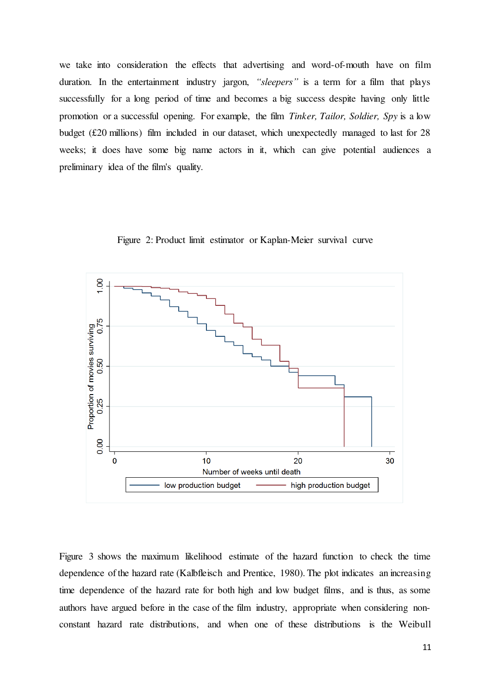we take into consideration the effects that advertising and word-of-mouth have on film duration. In the entertainment industry jargon, *"sleepers"* is a term for a film that plays successfully for a long period of time and becomes a big success despite having only little promotion or a successful opening. For example, the film *Tinker, Tailor, Soldier, Spy* is a low budget (£20 millions) film included in our dataset, which unexpectedly managed to last for 28 weeks; it does have some big name actors in it, which can give potential audiences a preliminary idea of the film's quality.



Figure 2: Product limit estimator or Kaplan-Meier survival curve

Figure 3 shows the maximum likelihood estimate of the hazard function to check the time dependence of the hazard rate (Kalbfleisch and Prentice, 1980). The plot indicates an increasing time dependence of the hazard rate for both high and low budget films, and is thus, as some authors have argued before in the case of the film industry, appropriate when considering nonconstant hazard rate distributions, and when one of these distributions is the Weibull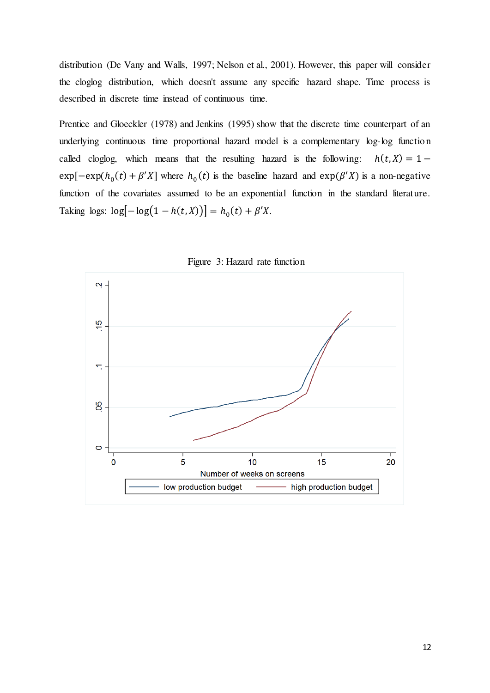distribution (De Vany and Walls, 1997; Nelson et al., 2001). However, this paper will consider the cloglog distribution, which doesn't assume any specific hazard shape. Time process is described in discrete time instead of continuous time.

Prentice and Gloeckler (1978) and Jenkins (1995) show that the discrete time counterpart of an underlying continuous time proportional hazard model is a complementary log-log function called cloglog, which means that the resulting hazard is the following:  $h(t, X) = 1$  $exp[-exp(h_0(t) + \beta'X]$  where  $h_0(t)$  is the baseline hazard and  $exp(\beta'X)$  is a non-negative function of the covariates assumed to be an exponential function in the standard literature. Taking logs:  $\log[-\log(1 - h(t, X))] = h_0(t) + \beta' X$ .



Figure 3: Hazard rate function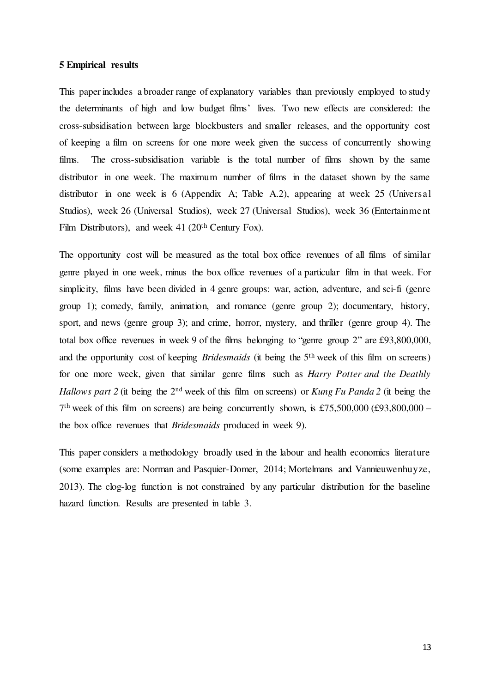#### **5 Empirical results**

This paper includes a broader range of explanatory variables than previously employed to study the determinants of high and low budget films' lives. Two new effects are considered: the cross-subsidisation between large blockbusters and smaller releases, and the opportunity cost of keeping a film on screens for one more week given the success of concurrently showing films. The cross-subsidisation variable is the total number of films shown by the same distributor in one week. The maximum number of films in the dataset shown by the same distributor in one week is 6 (Appendix A; Table A.2), appearing at week 25 (Universal Studios), week 26 (Universal Studios), week 27 (Universal Studios), week 36 (Entertainment Film Distributors), and week 41 (20<sup>th</sup> Century Fox).

The opportunity cost will be measured as the total box office revenues of all films of similar genre played in one week, minus the box office revenues of a particular film in that week. For simplicity, films have been divided in 4 genre groups: war, action, adventure, and sci-fi (genre group 1); comedy, family, animation, and romance (genre group 2); documentary, history, sport, and news (genre group 3); and crime, horror, mystery, and thriller (genre group 4). The total box office revenues in week 9 of the films belonging to "genre group 2" are £93,800,000, and the opportunity cost of keeping *Bridesmaids* (it being the 5th week of this film on screens) for one more week, given that similar genre films such as *Harry Potter and the Deathly Hallows part 2* (it being the 2nd week of this film on screens) or *Kung Fu Panda 2* (it being the  $7<sup>th</sup>$  week of this film on screens) are being concurrently shown, is £75,500,000 (£93,800,000 – the box office revenues that *Bridesmaids* produced in week 9).

This paper considers a methodology broadly used in the labour and health economics literature (some examples are: Norman and Pasquier-Domer, 2014; Mortelmans and [Vannieuwenhuyze,](http://www.ncbi.nlm.nih.gov/pubmed/?term=Vannieuwenhuyze%20JT%5Bauth%5D) 2013). The clog-log function is not constrained by any particular distribution for the baseline hazard function. Results are presented in table 3.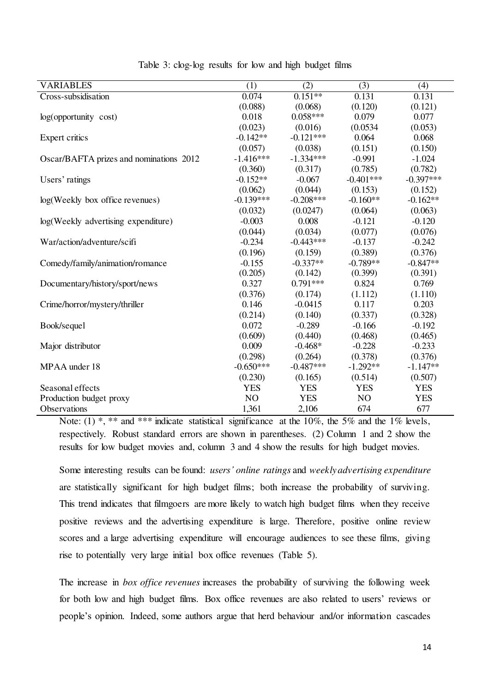| <b>VARIABLES</b>                        | (1)         | (2)         | (3)            | (4)         |
|-----------------------------------------|-------------|-------------|----------------|-------------|
| Cross-subsidisation                     | 0.074       | $0.151**$   | 0.131          | 0.131       |
|                                         | (0.088)     | (0.068)     | (0.120)        | (0.121)     |
| $log($ opportunity $cost)$              | 0.018       | $0.058***$  | 0.079          | 0.077       |
|                                         | (0.023)     | (0.016)     | (0.0534)       | (0.053)     |
| Expert critics                          | $-0.142**$  | $-0.121***$ | 0.064          | 0.068       |
|                                         | (0.057)     | (0.038)     | (0.151)        | (0.150)     |
| Oscar/BAFTA prizes and nominations 2012 | $-1.416***$ | $-1.334***$ | $-0.991$       | $-1.024$    |
|                                         | (0.360)     | (0.317)     | (0.785)        | (0.782)     |
| Users' ratings                          | $-0.152**$  | $-0.067$    | $-0.401***$    | $-0.397***$ |
|                                         | (0.062)     | (0.044)     | (0.153)        | (0.152)     |
| log(Weekly box office revenues)         | $-0.139***$ | $-0.208***$ | $-0.160**$     | $-0.162**$  |
|                                         | (0.032)     | (0.0247)    | (0.064)        | (0.063)     |
| log(Weekly advertising expenditure)     | $-0.003$    | 0.008       | $-0.121$       | $-0.120$    |
|                                         | (0.044)     | (0.034)     | (0.077)        | (0.076)     |
| War/action/adventure/scifi              | $-0.234$    | $-0.443***$ | $-0.137$       | $-0.242$    |
|                                         | (0.196)     | (0.159)     | (0.389)        | (0.376)     |
| Comedy/family/animation/romance         | $-0.155$    | $-0.337**$  | $-0.789**$     | $-0.847**$  |
|                                         | (0.205)     | (0.142)     | (0.399)        | (0.391)     |
| Documentary/history/sport/news          | 0.327       | $0.791***$  | 0.824          | 0.769       |
|                                         | (0.376)     | (0.174)     | (1.112)        | (1.110)     |
| Crime/horror/mystery/thriller           | 0.146       | $-0.0415$   | 0.117          | 0.203       |
|                                         | (0.214)     | (0.140)     | (0.337)        | (0.328)     |
| Book/sequel                             | 0.072       | $-0.289$    | $-0.166$       | $-0.192$    |
|                                         | (0.609)     | (0.440)     | (0.468)        | (0.465)     |
| Major distributor                       | 0.009       | $-0.468*$   | $-0.228$       | $-0.233$    |
|                                         | (0.298)     | (0.264)     | (0.378)        | (0.376)     |
| MPAA under 18                           | $-0.650***$ | $-0.487***$ | $-1.292**$     | $-1.147**$  |
|                                         | (0.230)     | (0.165)     | (0.514)        | (0.507)     |
| Seasonal effects                        | <b>YES</b>  | <b>YES</b>  | <b>YES</b>     | <b>YES</b>  |
| Production budget proxy                 | NO          | <b>YES</b>  | N <sub>O</sub> | <b>YES</b>  |
| Observations                            | 1,361       | 2,106       | 674            | 677         |

Table 3: clog-log results for low and high budget films

Note:  $(1)$ <sup>\*</sup>, \*\* and \*\*\* indicate statistical significance at the 10%, the 5% and the 1% levels, respectively. Robust standard errors are shown in parentheses. (2) Column 1 and 2 show the results for low budget movies and, column 3 and 4 show the results for high budget movies.

Some interesting results can be found: *users' online ratings* and *weekly advertising expenditure* are statistically significant for high budget films; both increase the probability of surviving. This trend indicates that filmgoers are more likely to watch high budget films when they receive positive reviews and the advertising expenditure is large. Therefore, positive online review scores and a large advertising expenditure will encourage audiences to see these films, giving rise to potentially very large initial box office revenues (Table 5).

The increase in *box office revenues* increases the probability of surviving the following week for both low and high budget films. Box office revenues are also related to users' reviews or people's opinion. Indeed, some authors argue that herd behaviour and/or information cascades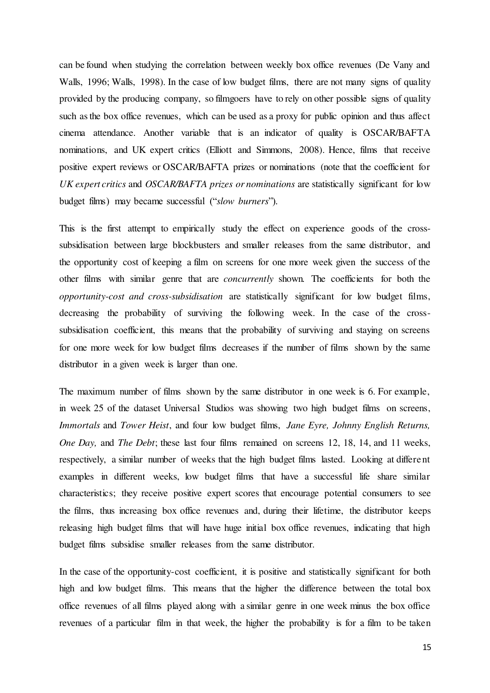can be found when studying the correlation between weekly box office revenues (De Vany and Walls, 1996; Walls, 1998). In the case of low budget films, there are not many signs of quality provided by the producing company, so filmgoers have to rely on other possible signs of quality such as the box office revenues, which can be used as a proxy for public opinion and thus affect cinema attendance. Another variable that is an indicator of quality is OSCAR/BAFTA nominations, and UK expert critics (Elliott and Simmons, 2008). Hence, films that receive positive expert reviews or OSCAR/BAFTA prizes or nominations (note that the coefficient for *UK expert critics* and *OSCAR/BAFTA prizes or nominations* are statistically significant for low budget films) may became successful ("*slow burners*").

This is the first attempt to empirically study the effect on experience goods of the crosssubsidisation between large blockbusters and smaller releases from the same distributor, and the opportunity cost of keeping a film on screens for one more week given the success of the other films with similar genre that are *concurrently* shown*.* The coefficients for both the *opportunity-cost and cross-subsidisation* are statistically significant for low budget films, decreasing the probability of surviving the following week. In the case of the crosssubsidisation coefficient, this means that the probability of surviving and staying on screens for one more week for low budget films decreases if the number of films shown by the same distributor in a given week is larger than one.

The maximum number of films shown by the same distributor in one week is 6. For example, in week 25 of the dataset Universal Studios was showing two high budget films on screens, *Immortals* and *Tower Heist*, and four low budget films, *Jane Eyre, Johnny English Returns, One Day,* and *The Debt*; these last four films remained on screens 12, 18, 14, and 11 weeks, respectively, a similar number of weeks that the high budget films lasted. Looking at different examples in different weeks, low budget films that have a successful life share similar characteristics; they receive positive expert scores that encourage potential consumers to see the films, thus increasing box office revenues and, during their lifetime, the distributor keeps releasing high budget films that will have huge initial box office revenues, indicating that high budget films subsidise smaller releases from the same distributor.

In the case of the opportunity-cost coefficient, it is positive and statistically significant for both high and low budget films. This means that the higher the difference between the total box office revenues of all films played along with a similar genre in one week minus the box office revenues of a particular film in that week, the higher the probability is for a film to be taken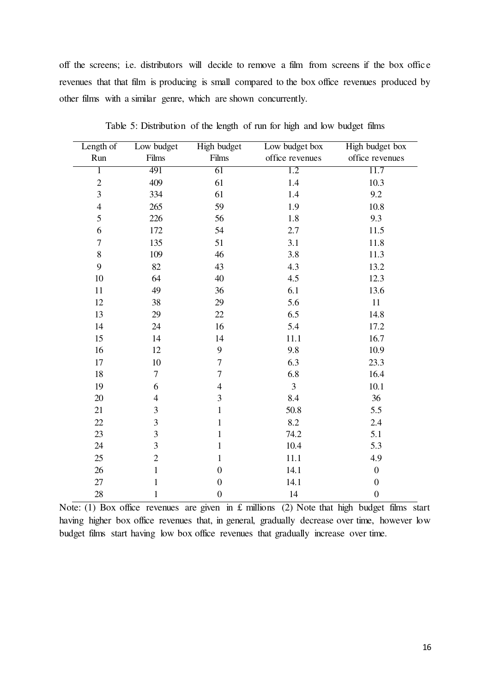off the screens; i.e. distributors will decide to remove a film from screens if the box offic e revenues that that film is producing is small compared to the box office revenues produced by other films with a similar genre, which are shown concurrently.

| Length of      | Low budget       | High budget      | Low budget box  | High budget box  |
|----------------|------------------|------------------|-----------------|------------------|
| Run            | Films            | Films            | office revenues | office revenues  |
| ī              | 491              | 61               | 1.2             | 11.7             |
| $\sqrt{2}$     | 409              | 61               | 1.4             | 10.3             |
| 3              | 334              | 61               | 1.4             | 9.2              |
| $\overline{4}$ | 265              | 59               | 1.9             | 10.8             |
| 5              | 226              | 56               | 1.8             | 9.3              |
| 6              | 172              | 54               | 2.7             | 11.5             |
| $\tau$         | 135              | 51               | 3.1             | 11.8             |
| $\,8\,$        | 109              | 46               | 3.8             | 11.3             |
| 9              | 82               | 43               | 4.3             | 13.2             |
| 10             | 64               | 40               | 4.5             | 12.3             |
| 11             | 49               | 36               | 6.1             | 13.6             |
| 12             | 38               | 29               | 5.6             | 11               |
| 13             | 29               | 22               | 6.5             | 14.8             |
| 14             | 24               | 16               | 5.4             | 17.2             |
| 15             | 14               | 14               | 11.1            | 16.7             |
| 16             | 12               | 9                | 9.8             | 10.9             |
| 17             | 10               | $\tau$           | 6.3             | 23.3             |
| 18             | $\boldsymbol{7}$ | $\tau$           | 6.8             | 16.4             |
| 19             | 6                | $\overline{4}$   | $\overline{3}$  | 10.1             |
| 20             | $\overline{4}$   | 3                | 8.4             | 36               |
| 21             | 3                | $\mathbf{1}$     | 50.8            | 5.5              |
| 22             | 3                | $\mathbf{1}$     | 8.2             | 2.4              |
| 23             | 3                | $\mathbf{1}$     | 74.2            | 5.1              |
| 24             | 3                | $\mathbf{1}$     | 10.4            | 5.3              |
| 25             | $\overline{c}$   | $\mathbf{1}$     | 11.1            | 4.9              |
| 26             | $\mathbf{1}$     | $\boldsymbol{0}$ | 14.1            | $\boldsymbol{0}$ |
| 27             | $\mathbf{1}$     | $\boldsymbol{0}$ | 14.1            | $\boldsymbol{0}$ |
| 28             | 1                | $\boldsymbol{0}$ | 14              | $\boldsymbol{0}$ |

Table 5: Distribution of the length of run for high and low budget films

Note: (1) Box office revenues are given in £ millions (2) Note that high budget films start having higher box office revenues that, in general, gradually decrease over time, however low budget films start having low box office revenues that gradually increase over time.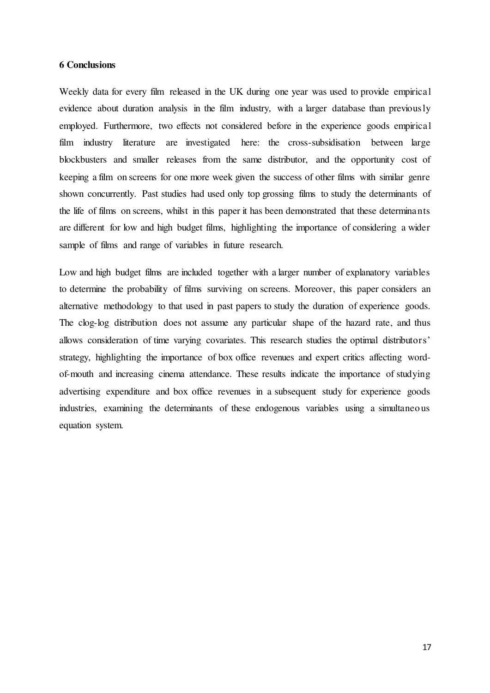#### **6 Conclusions**

Weekly data for every film released in the UK during one year was used to provide empirical evidence about duration analysis in the film industry, with a larger database than previously employed. Furthermore, two effects not considered before in the experience goods empirical film industry literature are investigated here: the cross-subsidisation between large blockbusters and smaller releases from the same distributor, and the opportunity cost of keeping a film on screens for one more week given the success of other films with similar genre shown concurrently. Past studies had used only top grossing films to study the determinants of the life of films on screens, whilst in this paper it has been demonstrated that these determinants are different for low and high budget films, highlighting the importance of considering a wider sample of films and range of variables in future research.

Low and high budget films are included together with a larger number of explanatory variables to determine the probability of films surviving on screens. Moreover, this paper considers an alternative methodology to that used in past papers to study the duration of experience goods. The clog-log distribution does not assume any particular shape of the hazard rate, and thus allows consideration of time varying covariates. This research studies the optimal distributors' strategy, highlighting the importance of box office revenues and expert critics affecting wordof-mouth and increasing cinema attendance. These results indicate the importance of studying advertising expenditure and box office revenues in a subsequent study for experience goods industries, examining the determinants of these endogenous variables using a simultaneous equation system.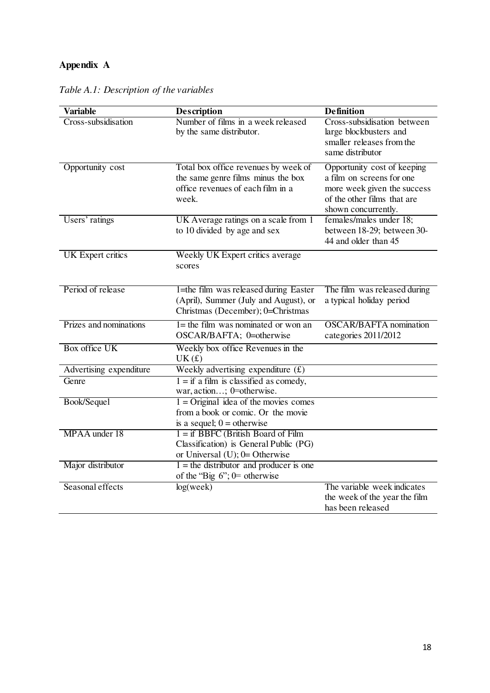# **Appendix A**

| <b>Variable</b>          | <b>Description</b>                                                                                                       | <b>Definition</b>                                                                                                                             |
|--------------------------|--------------------------------------------------------------------------------------------------------------------------|-----------------------------------------------------------------------------------------------------------------------------------------------|
| Cross-subsidisation      | Number of films in a week released<br>by the same distributor.                                                           | Cross-subsidisation between<br>large blockbusters and<br>smaller releases from the<br>same distributor                                        |
| Opportunity cost         | Total box office revenues by week of<br>the same genre films minus the box<br>office revenues of each film in a<br>week. | Opportunity cost of keeping<br>a film on screens for one<br>more week given the success<br>of the other films that are<br>shown concurrently. |
| Users' ratings           | UK Average ratings on a scale from 1<br>to 10 divided by age and sex                                                     | females/males under 18;<br>between 18-29; between 30-<br>44 and older than 45                                                                 |
| <b>UK</b> Expert critics | Weekly UK Expert critics average<br>scores                                                                               |                                                                                                                                               |
| Period of release        | 1=the film was released during Easter<br>(April), Summer (July and August), or<br>Christmas (December); 0=Christmas      | The film was released during<br>a typical holiday period                                                                                      |
| Prizes and nominations   | $l$ = the film was nominated or won an<br>OSCAR/BAFTA; 0=otherwise                                                       | <b>OSCAR/BAFTA</b> nomination<br>categories 2011/2012                                                                                         |
| <b>Box office UK</b>     | Weekly box office Revenues in the<br>UK(f)                                                                               |                                                                                                                                               |
| Advertising expenditure  | Weekly advertising expenditure $(f)$                                                                                     |                                                                                                                                               |
| Genre                    | $1 =$ if a film is classified as comedy,<br>war, action; 0=otherwise.                                                    |                                                                                                                                               |
| Book/Sequel              | $1 =$ Original idea of the movies comes<br>from a book or comic. Or the movie<br>is a sequel; $0 =$ otherwise            |                                                                                                                                               |
| MPAA under 18            | $1 = if BBFC (British Board of Film)$<br>Classification) is General Public (PG)<br>or Universal $(U)$ ; 0= Otherwise     |                                                                                                                                               |
| Major distributor        | $1 =$ the distributor and producer is one<br>of the "Big $6$ "; 0= otherwise                                             |                                                                                                                                               |
| Seasonal effects         | log(week)                                                                                                                | The variable week indicates<br>the week of the year the film<br>has been released                                                             |

*Table A.1: Description of the variables*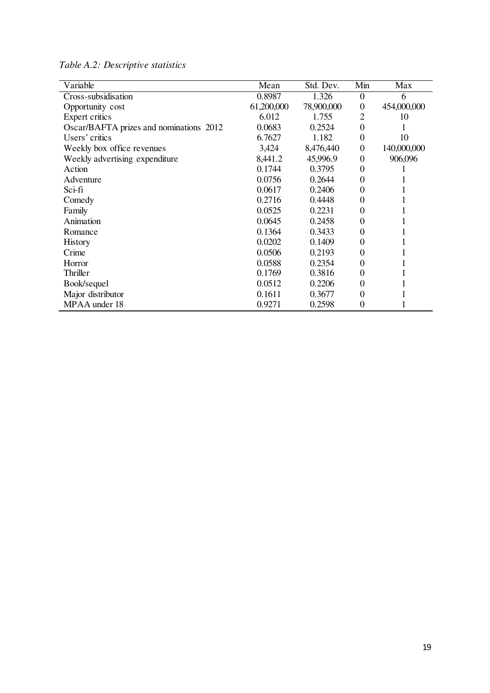| Variable                                | Mean       | Std. Dev.  | Min              | Max         |
|-----------------------------------------|------------|------------|------------------|-------------|
| Cross-subsidisation                     | 0.8987     | 1.326      | $\mathbf{0}$     | 6           |
| Opportunity cost                        | 61,200,000 | 78,900,000 | $\theta$         | 454,000,000 |
| Expert critics                          | 6.012      | 1.755      | $\overline{2}$   | 10          |
| Oscar/BAFTA prizes and nominations 2012 | 0.0683     | 0.2524     | $\overline{0}$   |             |
| Users' critics                          | 6.7627     | 1.182      | $\mathbf{0}$     | 10          |
| Weekly box office revenues              | 3,424      | 8,476,440  | $\mathbf{0}$     | 140,000,000 |
| Weekly advertising expenditure          | 8,441.2    | 45,996.9   | $\Omega$         | 906,096     |
| Action                                  | 0.1744     | 0.3795     | $\theta$         |             |
| Adventure                               | 0.0756     | 0.2644     | $\theta$         |             |
| Sci-fi                                  | 0.0617     | 0.2406     | $\theta$         |             |
| Comedy                                  | 0.2716     | 0.4448     | $\theta$         |             |
| Family                                  | 0.0525     | 0.2231     | $\theta$         |             |
| Animation                               | 0.0645     | 0.2458     | 0                |             |
| Romance                                 | 0.1364     | 0.3433     | $\theta$         |             |
| <b>History</b>                          | 0.0202     | 0.1409     | 0                |             |
| Crime                                   | 0.0506     | 0.2193     | $\Omega$         |             |
| Horror                                  | 0.0588     | 0.2354     | $\boldsymbol{0}$ |             |
| Thriller                                | 0.1769     | 0.3816     | $\theta$         |             |
| Book/sequel                             | 0.0512     | 0.2206     | $\overline{0}$   |             |
| Major distributor                       | 0.1611     | 0.3677     | $\theta$         |             |
| MPAA under 18                           | 0.9271     | 0.2598     | $\boldsymbol{0}$ |             |

*Table A.2: Descriptive statistics*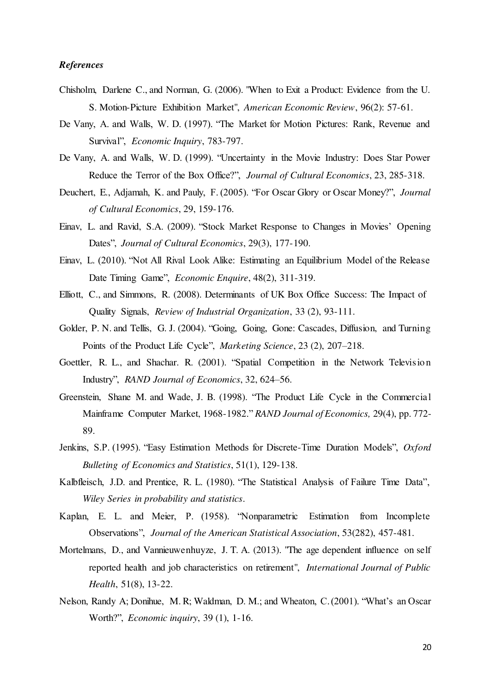### *References*

- Chisholm, Darlene C., and Norman, G. (2006). "When to Exit a Product: Evidence from the U. S. Motion-Picture Exhibition Market", *American Economic Review*, 96(2): 57-61.
- De Vany, A. and Walls, W. D. (1997). "The Market for Motion Pictures: Rank, Revenue and Survival", *Economic Inquiry*, 783-797.
- De Vany, A. and Walls, W. D. (1999). "Uncertainty in the Movie Industry: Does Star Power Reduce the Terror of the Box Office?", *Journal of Cultural Economics*, 23, 285-318.
- Deuchert, E., Adjamah, K. and Pauly, F. (2005). "For Oscar Glory or Oscar Money?", *Journal of Cultural Economics*, 29, 159-176.
- Einav, L. and Ravid, S.A. (2009). "Stock Market Response to Changes in Movies' Opening Dates", *Journal of Cultural Economics*, 29(3), 177-190.
- Einav, L. (2010). "Not All Rival Look Alike: Estimating an Equilibrium Model of the Release Date Timing Game", *Economic Enquire*, 48(2), 311-319.
- Elliott, C., and Simmons, R. (2008). Determinants of UK Box Office Success: The Impact of Quality Signals, *Review of Industrial Organization*, 33 (2), 93-111.
- Golder, P. N. and Tellis, G. J. (2004). "Going, Going, Gone: Cascades, Diffusion, and Turning Points of the Product Life Cycle", *Marketing Science*, 23 (2), 207–218.
- Goettler, R. L., and Shachar. R. (2001). "Spatial Competition in the Network Television Industry", *RAND Journal of Economics*, 32, 624–56.
- Greenstein, Shane M. and Wade, J. B. (1998). "The Product Life Cycle in the Commercial Mainframe Computer Market, 1968-1982." *RAND Journal of Economics,* 29(4), pp. 772- 89.
- Jenkins, S.P. (1995). "Easy Estimation Methods for Discrete-Time Duration Models", *Oxford Bulleting of Economics and Statistics*, 51(1), 129-138.
- Kalbfleisch, J.D. and Prentice, R. L. (1980). "The Statistical Analysis of Failure Time Data", *Wiley Series in probability and statistics*.
- Kaplan, E. L. and Meier, P. (1958). "Nonparametric Estimation from Incomplete Observations", *Journal of the American Statistical Association*, 53(282), 457-481.
- Mortelmans, D., and [Vannieuwenhuyze,](http://www.ncbi.nlm.nih.gov/pubmed/?term=Vannieuwenhuyze%20JT%5Bauth%5D) J. T. A. (2013). "The age dependent influence on self reported health and job characteristics on retirement", *International Journal of Public Health*, 51(8), 13-22.
- Nelson, Randy A; Donihue, M. R; Waldman, D. M.; and Wheaton, C. (2001). "What's an Oscar Worth?", *Economic inquiry*, 39 (1), 1-16.